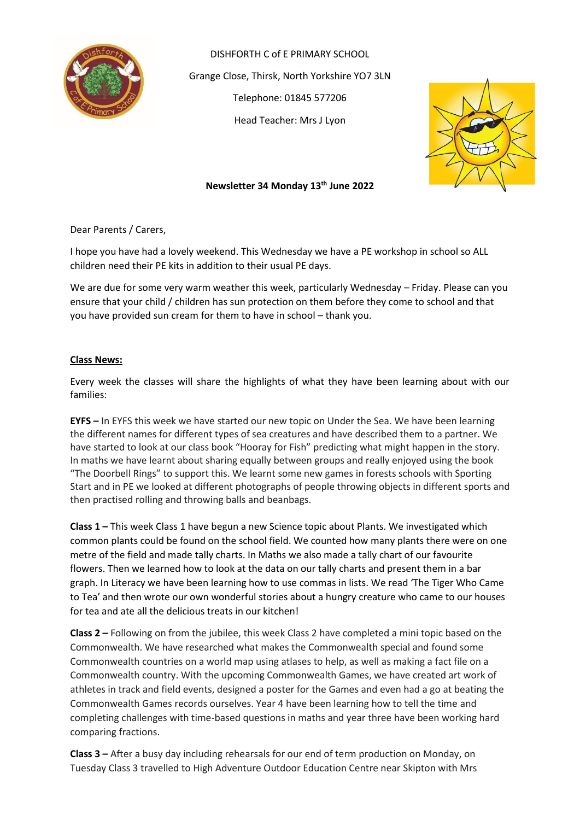

DISHFORTH C of E PRIMARY SCHOOL Grange Close, Thirsk, North Yorkshire YO7 3LN Telephone: 01845 577206 Head Teacher: Mrs J Lyon



## **Newsletter 34 Monday 13th June 2022**

Dear Parents / Carers,

I hope you have had a lovely weekend. This Wednesday we have a PE workshop in school so ALL children need their PE kits in addition to their usual PE days.

We are due for some very warm weather this week, particularly Wednesday – Friday. Please can you ensure that your child / children has sun protection on them before they come to school and that you have provided sun cream for them to have in school – thank you.

## **Class News:**

Every week the classes will share the highlights of what they have been learning about with our families:

**EYFS –** In EYFS this week we have started our new topic on Under the Sea. We have been learning the different names for different types of sea creatures and have described them to a partner. We have started to look at our class book "Hooray for Fish" predicting what might happen in the story. In maths we have learnt about sharing equally between groups and really enjoyed using the book "The Doorbell Rings" to support this. We learnt some new games in forests schools with Sporting Start and in PE we looked at different photographs of people throwing objects in different sports and then practised rolling and throwing balls and beanbags.

**Class 1 –** This week Class 1 have begun a new Science topic about Plants. We investigated which common plants could be found on the school field. We counted how many plants there were on one metre of the field and made tally charts. In Maths we also made a tally chart of our favourite flowers. Then we learned how to look at the data on our tally charts and present them in a bar graph. In Literacy we have been learning how to use commas in lists. We read 'The Tiger Who Came to Tea' and then wrote our own wonderful stories about a hungry creature who came to our houses for tea and ate all the delicious treats in our kitchen!

**Class 2 –** Following on from the jubilee, this week Class 2 have completed a mini topic based on the Commonwealth. We have researched what makes the Commonwealth special and found some Commonwealth countries on a world map using atlases to help, as well as making a fact file on a Commonwealth country. With the upcoming Commonwealth Games, we have created art work of athletes in track and field events, designed a poster for the Games and even had a go at beating the Commonwealth Games records ourselves. Year 4 have been learning how to tell the time and completing challenges with time-based questions in maths and year three have been working hard comparing fractions.

**Class 3 –** After a busy day including rehearsals for our end of term production on Monday, on Tuesday Class 3 travelled to High Adventure Outdoor Education Centre near Skipton with Mrs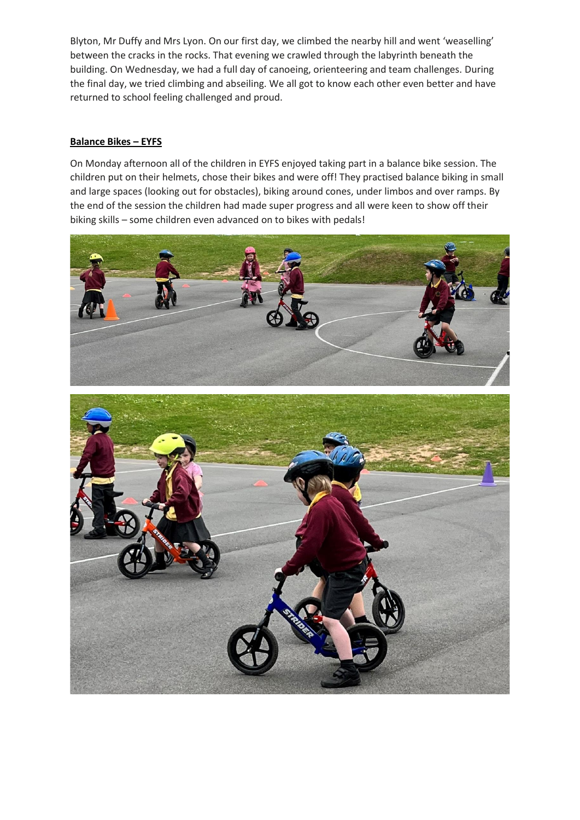Blyton, Mr Duffy and Mrs Lyon. On our first day, we climbed the nearby hill and went 'weaselling' between the cracks in the rocks. That evening we crawled through the labyrinth beneath the building. On Wednesday, we had a full day of canoeing, orienteering and team challenges. During the final day, we tried climbing and abseiling. We all got to know each other even better and have returned to school feeling challenged and proud.

## **Balance Bikes – EYFS**

On Monday afternoon all of the children in EYFS enjoyed taking part in a balance bike session. The children put on their helmets, chose their bikes and were off! They practised balance biking in small and large spaces (looking out for obstacles), biking around cones, under limbos and over ramps. By the end of the session the children had made super progress and all were keen to show off their biking skills – some children even advanced on to bikes with pedals!

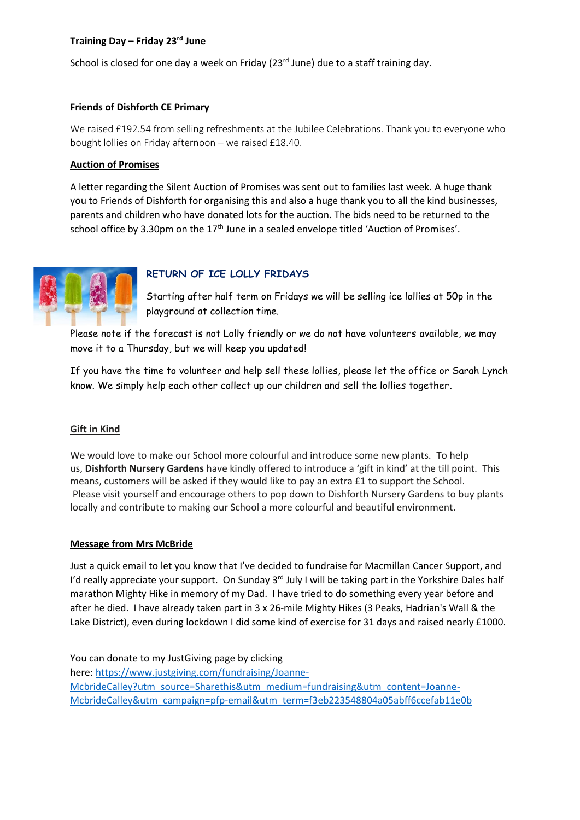## **Training Day – Friday 23rd June**

School is closed for one day a week on Friday ( $23<sup>rd</sup>$  June) due to a staff training day.

## **Friends of Dishforth CE Primary**

We raised £192.54 from selling refreshments at the Jubilee Celebrations. Thank you to everyone who bought lollies on Friday afternoon – we raised £18.40.

#### **Auction of Promises**

A letter regarding the Silent Auction of Promises was sent out to families last week. A huge thank you to Friends of Dishforth for organising this and also a huge thank you to all the kind businesses, parents and children who have donated lots for the auction. The bids need to be returned to the school office by 3.30pm on the 17<sup>th</sup> June in a sealed envelope titled 'Auction of Promises'.



## **RETURN OF ICE LOLLY FRIDAYS**

Starting after half term on Fridays we will be selling ice lollies at 50p in the playground at collection time.

Please note if the forecast is not Lolly friendly or we do not have volunteers available, we may move it to a Thursday, but we will keep you updated!

If you have the time to volunteer and help sell these lollies, please let the office or Sarah Lynch know. We simply help each other collect up our children and sell the lollies together.

#### **Gift in Kind**

We would love to make our School more colourful and introduce some new plants. To help us, **Dishforth Nursery Gardens** have kindly offered to introduce a 'gift in kind' at the till point. This means, customers will be asked if they would like to pay an extra £1 to support the School. Please visit yourself and encourage others to pop down to Dishforth Nursery Gardens to buy plants locally and contribute to making our School a more colourful and beautiful environment.

## **Message from Mrs McBride**

Just a quick email to let you know that I've decided to fundraise for Macmillan Cancer Support, and I'd really appreciate your support. On Sunday 3<sup>rd</sup> July I will be taking part in the Yorkshire Dales half marathon Mighty Hike in memory of my Dad. I have tried to do something every year before and after he died. I have already taken part in 3 x 26-mile Mighty Hikes (3 Peaks, Hadrian's Wall & the Lake District), even during lockdown I did some kind of exercise for 31 days and raised nearly £1000.

You can donate to my JustGiving page by clicking here: [https://www.justgiving.com/fundraising/Joanne-](https://www.justgiving.com/fundraising/Joanne-McbrideCalley?utm_source=Sharethis&utm_medium=fundraising&utm_content=Joanne-McbrideCalley&utm_campaign=pfp-email&utm_term=f3eb223548804a05abff6ccefab11e0b)[McbrideCalley?utm\\_source=Sharethis&utm\\_medium=fundraising&utm\\_content=Joanne-](https://www.justgiving.com/fundraising/Joanne-McbrideCalley?utm_source=Sharethis&utm_medium=fundraising&utm_content=Joanne-McbrideCalley&utm_campaign=pfp-email&utm_term=f3eb223548804a05abff6ccefab11e0b)[McbrideCalley&utm\\_campaign=pfp-email&utm\\_term=f3eb223548804a05abff6ccefab11e0b](https://www.justgiving.com/fundraising/Joanne-McbrideCalley?utm_source=Sharethis&utm_medium=fundraising&utm_content=Joanne-McbrideCalley&utm_campaign=pfp-email&utm_term=f3eb223548804a05abff6ccefab11e0b)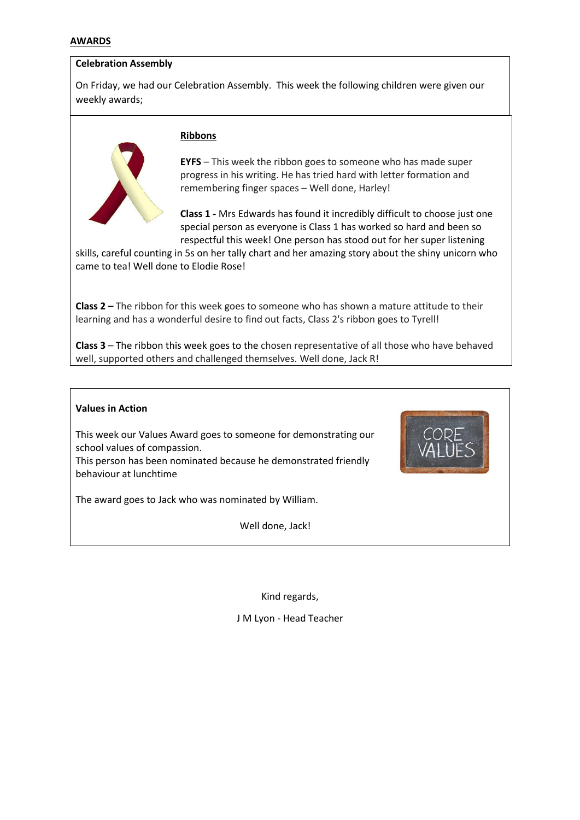#### **AWARDS**

#### **Celebration Assembly**

On Friday, we had our Celebration Assembly. This week the following children were given our weekly awards;



#### **Ribbons**

**EYFS** – This week the ribbon goes to someone who has made super progress in his writing. He has tried hard with letter formation and remembering finger spaces – Well done, Harley!

**Class 1 -** Mrs Edwards has found it incredibly difficult to choose just one special person as everyone is Class 1 has worked so hard and been so respectful this week! One person has stood out for her super listening

skills, careful counting in 5s on her tally chart and her amazing story about the shiny unicorn who came to tea! Well done to Elodie Rose!

**Class 2 –** The ribbon for this week goes to someone who has shown a mature attitude to their learning and has a wonderful desire to find out facts, Class 2's ribbon goes to Tyrell!

**Class 3** – The ribbon this week goes to the chosen representative of all those who have behaved well, supported others and challenged themselves. Well done, Jack R!

#### **Values in Action**

This week our Values Award goes to someone for demonstrating our school values of compassion.

This person has been nominated because he demonstrated friendly behaviour at lunchtime

The award goes to Jack who was nominated by William.

Well done, Jack!

Kind regards,

J M Lyon - Head Teacher